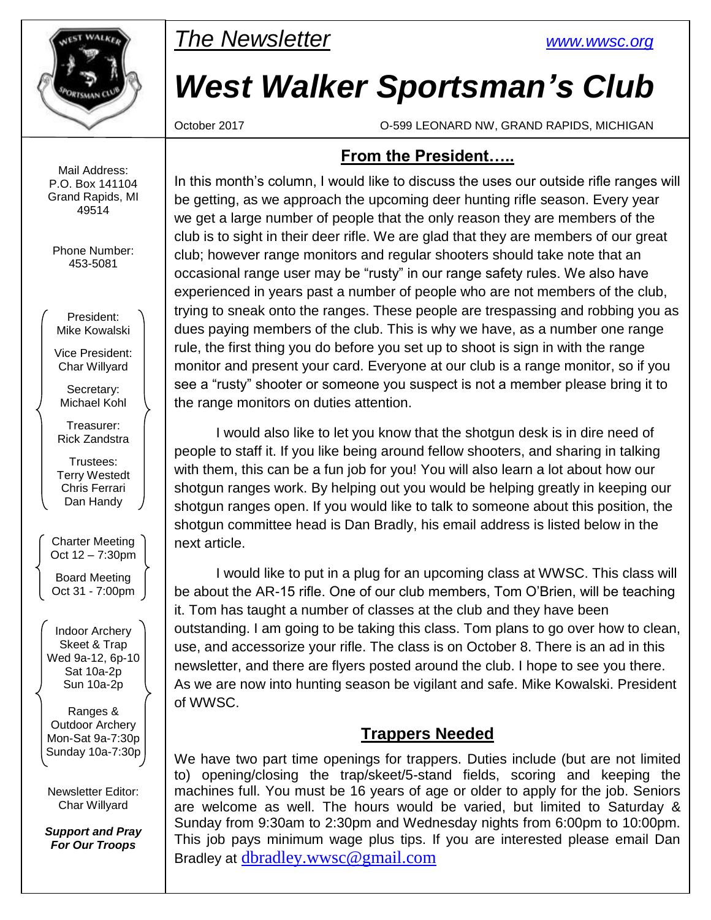

*The Newsletter [www.wwsc.org](file:///C:/WWSC/Newsletter/www.wwsc.org)*

# *West Walker Sportsman's Club*

October 2017 O-599 LEONARD NW, GRAND RAPIDS, MICHIGAN

### **From the President…..**

In this month's column, I would like to discuss the uses our outside rifle ranges will be getting, as we approach the upcoming deer hunting rifle season. Every year we get a large number of people that the only reason they are members of the club is to sight in their deer rifle. We are glad that they are members of our great club; however range monitors and regular shooters should take note that an occasional range user may be "rusty" in our range safety rules. We also have experienced in years past a number of people who are not members of the club, trying to sneak onto the ranges. These people are trespassing and robbing you as dues paying members of the club. This is why we have, as a number one range rule, the first thing you do before you set up to shoot is sign in with the range monitor and present your card. Everyone at our club is a range monitor, so if you see a "rusty" shooter or someone you suspect is not a member please bring it to the range monitors on duties attention.

I would also like to let you know that the shotgun desk is in dire need of people to staff it. If you like being around fellow shooters, and sharing in talking with them, this can be a fun job for you! You will also learn a lot about how our shotgun ranges work. By helping out you would be helping greatly in keeping our shotgun ranges open. If you would like to talk to someone about this position, the shotgun committee head is Dan Bradly, his email address is listed below in the next article.

I would like to put in a plug for an upcoming class at WWSC. This class will be about the AR-15 rifle. One of our club members, Tom O'Brien, will be teaching it. Tom has taught a number of classes at the club and they have been outstanding. I am going to be taking this class. Tom plans to go over how to clean, use, and accessorize your rifle. The class is on October 8. There is an ad in this newsletter, and there are flyers posted around the club. I hope to see you there. As we are now into hunting season be vigilant and safe. Mike Kowalski. President of WWSC.

## **Trappers Needed**

We have two part time openings for trappers. Duties include (but are not limited to) opening/closing the trap/skeet/5-stand fields, scoring and keeping the machines full. You must be 16 years of age or older to apply for the job. Seniors are welcome as well. The hours would be varied, but limited to Saturday & Sunday from 9:30am to 2:30pm and Wednesday nights from 6:00pm to 10:00pm. This job pays minimum wage plus tips. If you are interested please email Dan Bradley at [dbradley.wwsc@gmail.com](mailto:dbradley.wwsc@gmail.com)

Mail Address: P.O. Box 141104 Grand Rapids, MI 49514

Phone Number: 453-5081

President: Mike Kowalski

Vice President: Char Willyard

Secretary: Michael Kohl

Treasurer: Rick Zandstra

Trustees: Terry Westedt Chris Ferrari Dan Handy

Charter Meeting Oct 12 – 7:30pm

Board Meeting Oct 31 - 7:00pm

Indoor Archery Skeet & Trap Wed 9a-12, 6p-10 Sat 10a-2p Sun 10a-2p

Ranges & Outdoor Archery Mon-Sat 9a-7:30p Sunday 10a-7:30p

Newsletter Editor: Char Willyard

*Support and Pray For Our Troops*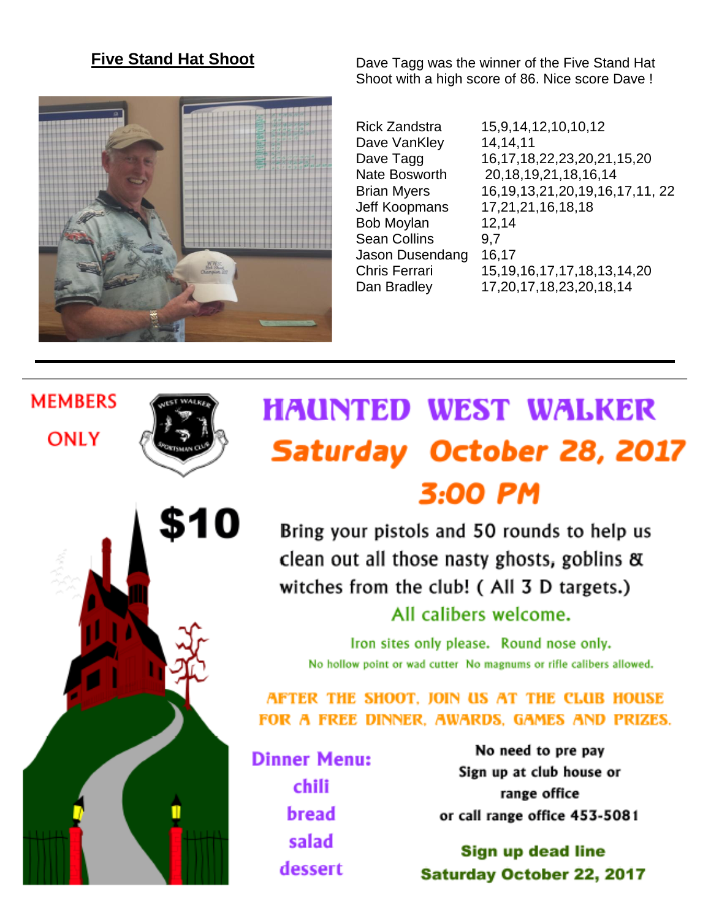## **Five Stand Hat Shoot**



\$10

**MEMBERS** 

**ONLY** 

Dave Tagg was the winner of the Five Stand Hat Shoot with a high score of 86. Nice score Dave !

Dave VanKley 14,14,11 Bob Moylan 12,14 Sean Collins 9.7 Jason Dusendang 16,17

Rick Zandstra 15,9,14,12,10,10,12 Dave Tagg 16,17,18,22,23,20,21,15,20 Nate Bosworth 20,18,19,21,18,16,14 Brian Myers 16,19,13,21,20,19,16,17,11, 22 Jeff Koopmans 17,21,21,16,18,18 Chris Ferrari 15,19,16,17,17,18,13,14,20 Dan Bradley 17,20,17,18,23,20,18,14

# **HAUNTED WEST WALKER** Saturday October 28, 2017 3:00 PM

Bring your pistols and 50 rounds to help us clean out all those nasty ghosts, goblins & witches from the club! (All 3 D targets.) All calibers welcome.

Iron sites only please. Round nose only. No hollow point or wad cutter No magnums or rifle calibers allowed.

AFTER THE SHOOT. JOIN US AT THE CLUB HOUSE FOR A FREE DINNER. AWARDS. GAMES AND PRIZES.

**Dinner Menu:** chili bread salad dessert

No need to pre pay Sign up at club house or range office or call range office 453-5081

Sign up dead line **Saturday October 22, 2017**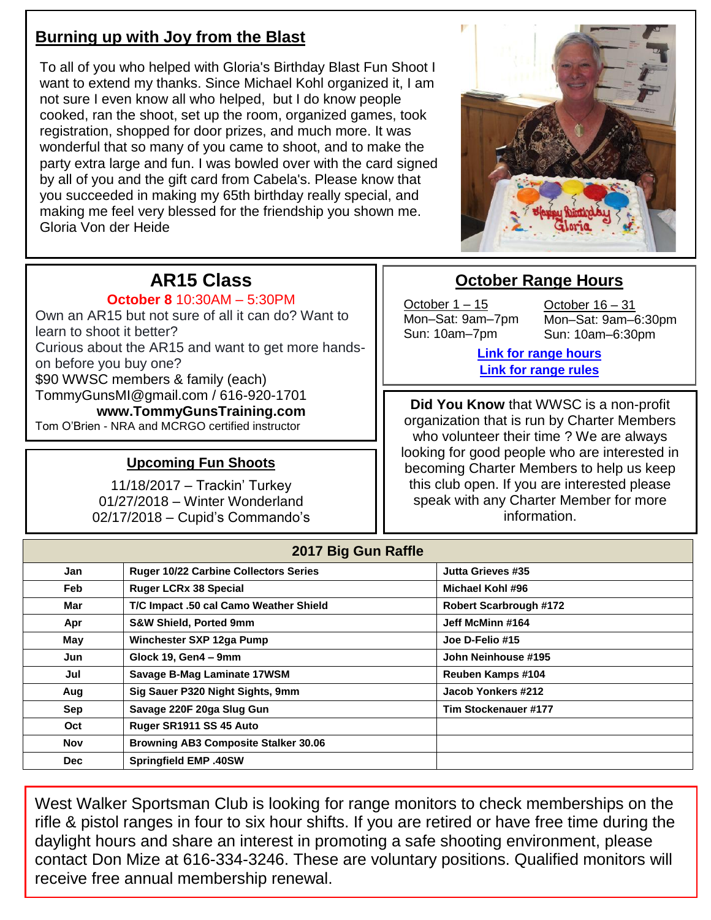# **Burning up with Joy from the Blast**

To all of you who helped with Gloria's Birthday Blast Fun Shoot I want to extend my thanks. Since Michael Kohl organized it, I am not sure I even know all who helped, but I do know people cooked, ran the shoot, set up the room, organized games, took registration, shopped for door prizes, and much more. It was wonderful that so many of you came to shoot, and to make the party extra large and fun. I was bowled over with the card signed by all of you and the gift card from Cabela's. Please know that you succeeded in making my 65th birthday really special, and making me feel very blessed for the friendship you shown me. Gloria Von der Heide



# **AR15 Class**

#### **October 8** 10:30AM – 5:30PM

Own an AR15 but not sure of all it can do? Want to learn to shoot it better? Curious about the AR15 and want to get more handson before you buy one? \$90 WWSC members & family (each) TommyGunsMI@gmail.com / 616-920-1701 **www.TommyGunsTraining.com** Tom O'Brien - NRA and MCRGO certified instructor

#### **Upcoming Fun Shoots**

11/18/2017 – Trackin' Turkey 01/27/2018 – Winter Wonderland 02/17/2018 – Cupid's Commando's

## **October Range Hours**

October 1 – 15 Mon–Sat: 9am–7pm Sun: 10am–7pm

October 16 – 31 Mon–Sat: 9am–6:30pm Sun: 10am–6:30pm

**[Link for range hours](http://www.wwsc.org/range-hours.shtml) [Link for range rules](http://www.wwsc.org/img/ranges/RangeRules.pdf)**

**Did You Know** that WWSC is a non-profit organization that is run by Charter Members who volunteer their time ? We are always looking for good people who are interested in becoming Charter Members to help us keep this club open. If you are interested please speak with any Charter Member for more information.

|            | 2017 Big Gun Raffle                          |                               |
|------------|----------------------------------------------|-------------------------------|
| Jan        | <b>Ruger 10/22 Carbine Collectors Series</b> | Jutta Grieves #35             |
| Feb        | <b>Ruger LCRx 38 Special</b>                 | Michael Kohl #96              |
| Mar        | T/C Impact .50 cal Camo Weather Shield       | <b>Robert Scarbrough #172</b> |
| Apr        | <b>S&amp;W Shield, Ported 9mm</b>            | Jeff McMinn #164              |
| May        | Winchester SXP 12ga Pump                     | Joe D-Felio #15               |
| Jun        | Glock 19, Gen4 - 9mm                         | John Neinhouse #195           |
| Jul        | Savage B-Mag Laminate 17WSM                  | Reuben Kamps #104             |
| Aug        | Sig Sauer P320 Night Sights, 9mm             | Jacob Yonkers #212            |
| Sep        | Savage 220F 20ga Slug Gun                    | Tim Stockenauer #177          |
| Oct        | Ruger SR1911 SS 45 Auto                      |                               |
| Nov        | <b>Browning AB3 Composite Stalker 30.06</b>  |                               |
| <b>Dec</b> | <b>Springfield EMP .40SW</b>                 |                               |

West Walker Sportsman Club is looking for range monitors to check memberships on the rifle & pistol ranges in four to six hour shifts. If you are retired or have free time during the daylight hours and share an interest in promoting a safe shooting environment, please contact Don Mize at 616-334-3246. These are voluntary positions. Qualified monitors will receive free annual membership renewal.